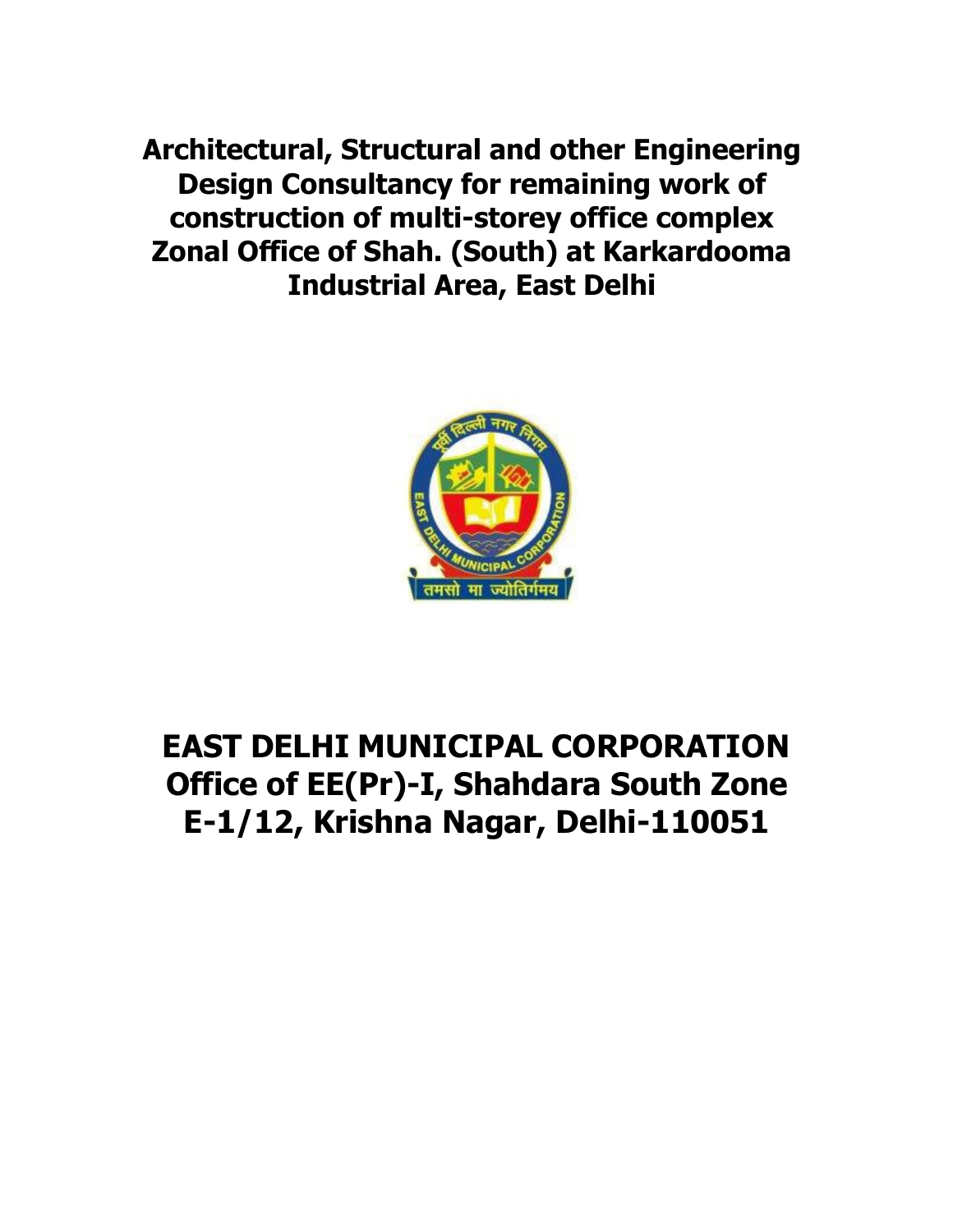**Architectural, Structural and other Engineering Design Consultancy for remaining work of construction of multi-storey office complex Zonal Office of Shah. (South) at Karkardooma Industrial Area, East Delhi**



# **EAST DELHI MUNICIPAL CORPORATION Office of EE(Pr)-I, Shahdara South Zone E-1/12, Krishna Nagar, Delhi-110051**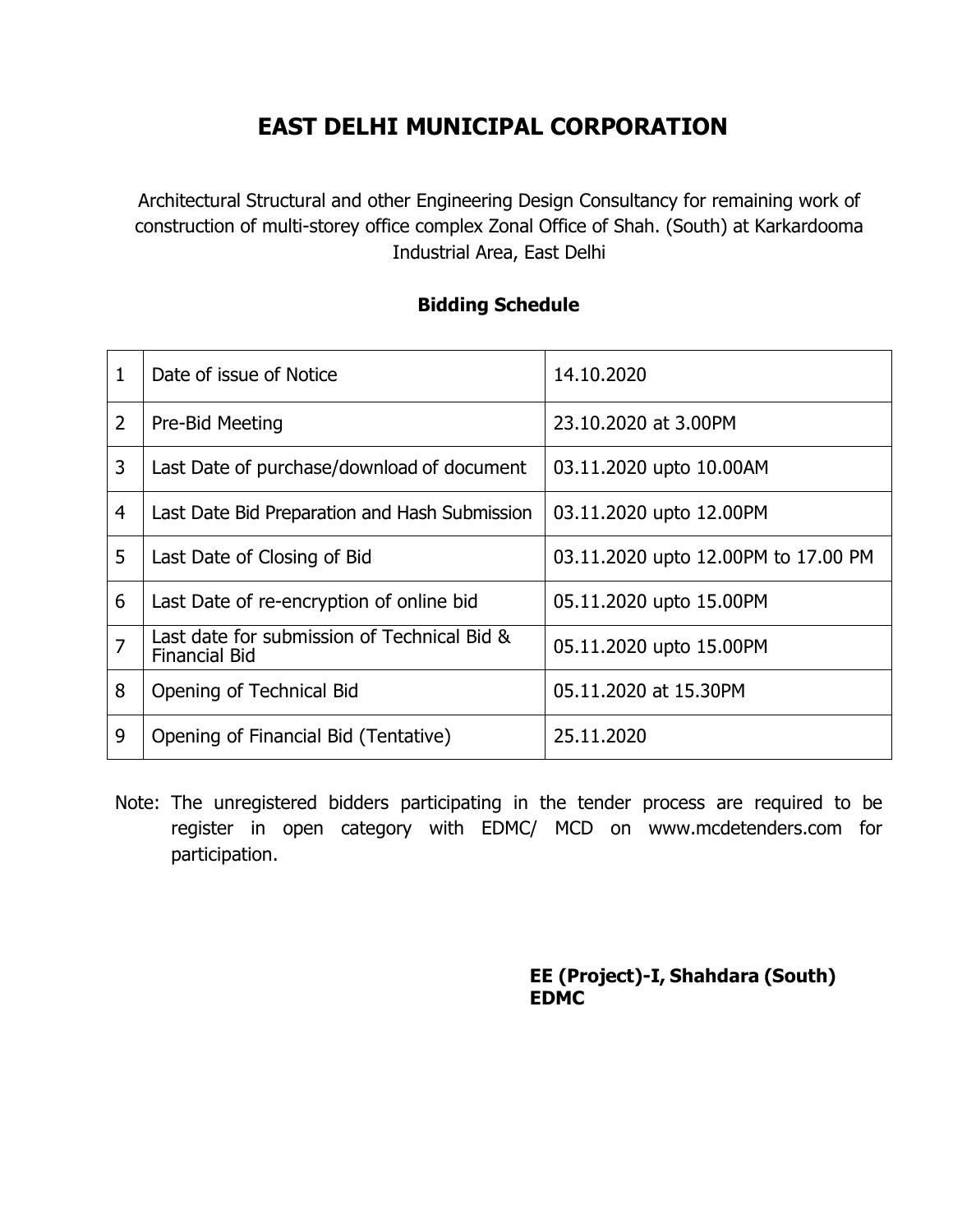## **EAST DELHI MUNICIPAL CORPORATION**

Architectural Structural and other Engineering Design Consultancy for remaining work of construction of multi-storey office complex Zonal Office of Shah. (South) at Karkardooma Industrial Area, East Delhi

## **Bidding Schedule**

| 1              | Date of issue of Notice                                             | 14.10.2020                          |
|----------------|---------------------------------------------------------------------|-------------------------------------|
| $\overline{2}$ | Pre-Bid Meeting                                                     | 23.10.2020 at 3.00PM                |
| 3              | Last Date of purchase/download of document                          | 03.11.2020 upto 10.00AM             |
| $\overline{4}$ | Last Date Bid Preparation and Hash Submission                       | 03.11.2020 upto 12.00PM             |
| 5              | Last Date of Closing of Bid                                         | 03.11.2020 upto 12.00PM to 17.00 PM |
| 6              | Last Date of re-encryption of online bid                            | 05.11.2020 upto 15.00PM             |
| $\overline{7}$ | Last date for submission of Technical Bid &<br><b>Financial Bid</b> | 05.11.2020 upto 15.00PM             |
| 8              | Opening of Technical Bid                                            | 05.11.2020 at 15.30PM               |
| 9              | Opening of Financial Bid (Tentative)                                | 25.11.2020                          |

Note: The unregistered bidders participating in the tender process are required to be register in open category with EDMC/ MCD on www.mcdetenders.com for participation.

> **EE (Project)-I, Shahdara (South) EDMC**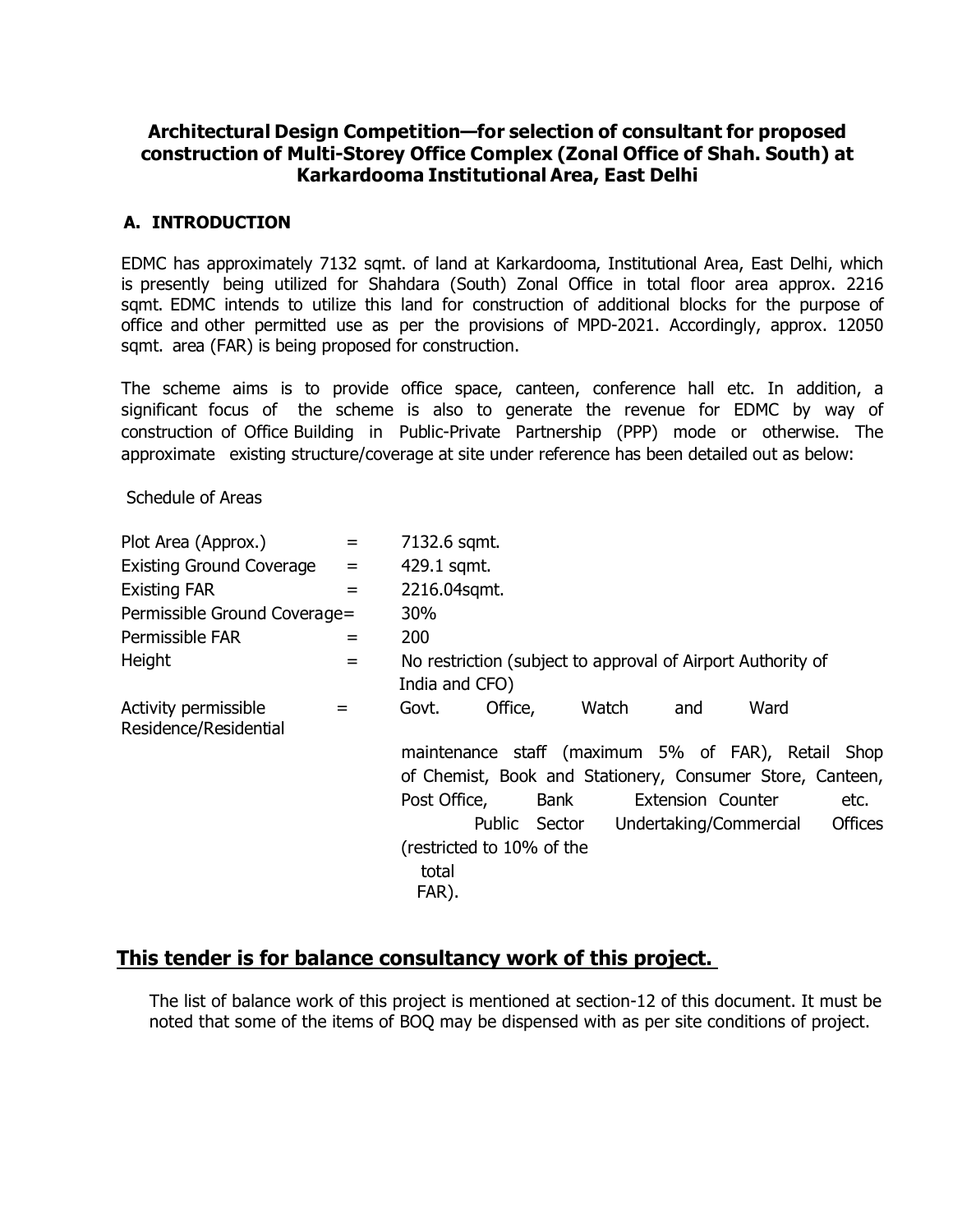## **Architectural Design Competition—for selection of consultant for proposed construction of Multi-Storey Office Complex (Zonal Office of Shah. South) at Karkardooma Institutional Area, East Delhi**

## **A. INTRODUCTION**

EDMC has approximately 7132 sqmt. of land at Karkardooma, Institutional Area, East Delhi, which is presently being utilized for Shahdara (South) Zonal Office in total floor area approx. 2216 sqmt. EDMC intends to utilize this land for construction of additional blocks for the purpose of office and other permitted use as per the provisions of MPD-2021. Accordingly, approx. 12050 sqmt. area (FAR) is being proposed for construction.

The scheme aims is to provide office space, canteen, conference hall etc. In addition, a significant focus of the scheme is also to generate the revenue for EDMC by way of construction of Office Building in Public-Private Partnership (PPP) mode or otherwise. The approximate existing structure/coverage at site under reference has been detailed out as below:

Schedule of Areas

| Plot Area (Approx.)                           | $=$ | 7132.6 sqmt.                                                |               |       |                          |      |                |
|-----------------------------------------------|-----|-------------------------------------------------------------|---------------|-------|--------------------------|------|----------------|
| <b>Existing Ground Coverage</b><br>$=$        |     | 429.1 sqmt.                                                 |               |       |                          |      |                |
| <b>Existing FAR</b><br>$=$                    |     | 2216.04sqmt.                                                |               |       |                          |      |                |
| Permissible Ground Coverage=                  |     | 30%                                                         |               |       |                          |      |                |
| Permissible FAR                               | $=$ | 200                                                         |               |       |                          |      |                |
| Height<br>$=$                                 |     | No restriction (subject to approval of Airport Authority of |               |       |                          |      |                |
|                                               |     | India and CFO)                                              |               |       |                          |      |                |
| Activity permissible<br>Residence/Residential | $=$ | Govt.                                                       | Office,       | Watch | and                      | Ward |                |
|                                               |     | maintenance staff (maximum 5% of FAR), Retail Shop          |               |       |                          |      |                |
|                                               |     | of Chemist, Book and Stationery, Consumer Store, Canteen,   |               |       |                          |      |                |
|                                               |     | Post Office,                                                | Bank          |       | <b>Extension Counter</b> |      | etc.           |
|                                               |     |                                                             | Public Sector |       | Undertaking/Commercial   |      | <b>Offices</b> |
|                                               |     | (restricted to 10% of the                                   |               |       |                          |      |                |
|                                               |     | total                                                       |               |       |                          |      |                |
|                                               |     | FAR).                                                       |               |       |                          |      |                |

## **This tender is for balance consultancy work of this project.**

The list of balance work of this project is mentioned at section-12 of this document. It must be noted that some of the items of BOQ may be dispensed with as per site conditions of project.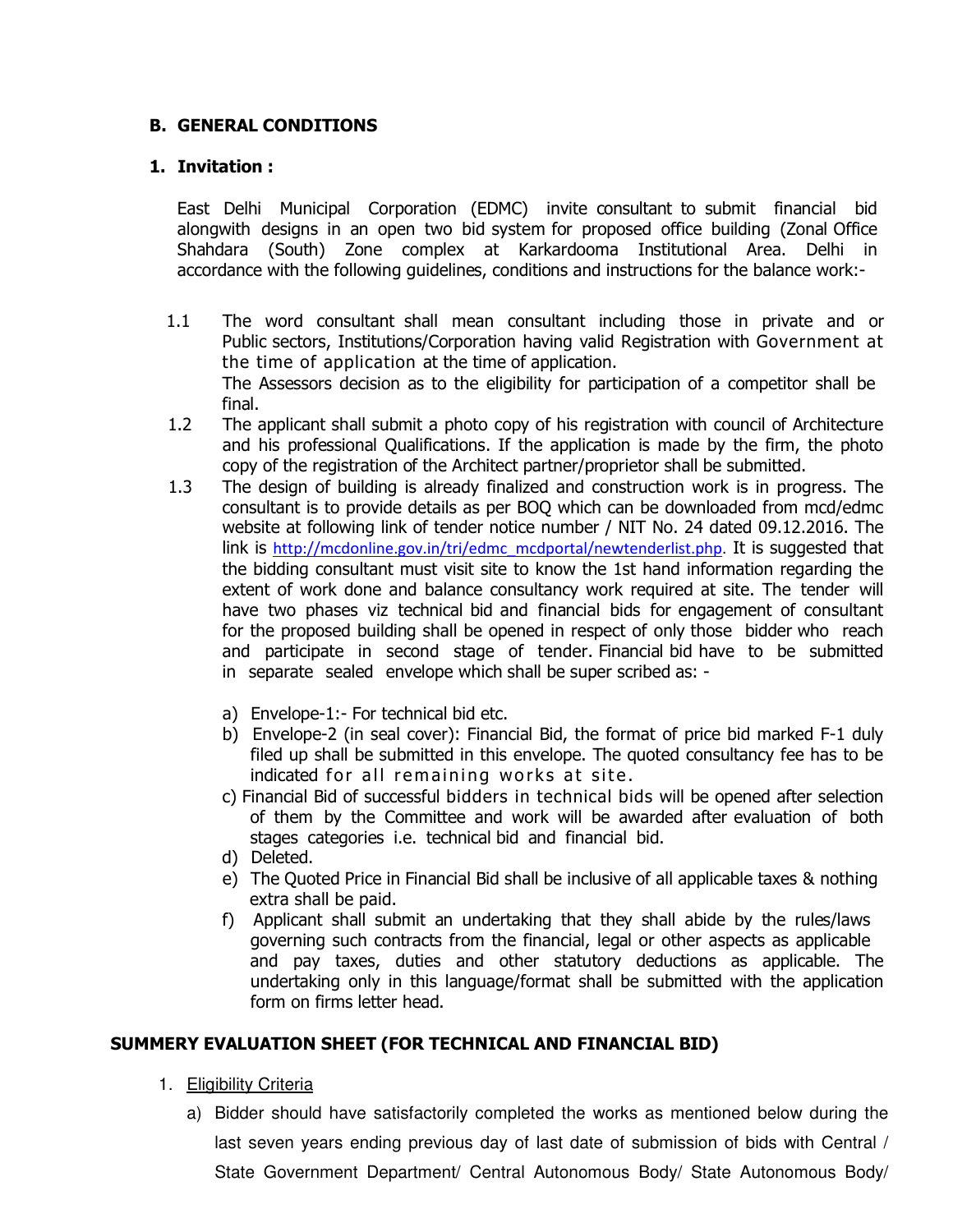## **B. GENERAL CONDITIONS**

## **1. Invitation :**

East Delhi Municipal Corporation (EDMC) invite consultant to submit financial bid alongwith designs in an open two bid system for proposed office building (Zonal Office Shahdara (South) Zone complex at Karkardooma Institutional Area. Delhi in accordance with the following guidelines, conditions and instructions for the balance work:-

- 1.1 The word consultant shall mean consultant including those in private and or Public sectors, Institutions/Corporation having valid Registration with Government at the time of application at the time of application. The Assessors decision as to the eligibility for participation of a competitor shall be final.
- 1.2 The applicant shall submit a photo copy of his registration with council of Architecture and his professional Qualifications. If the application is made by the firm, the photo copy of the registration of the Architect partner/proprietor shall be submitted.
- 1.3 The design of building is already finalized and construction work is in progress. The consultant is to provide details as per BOQ which can be downloaded from mcd/edmc website at following link of tender notice number / NIT No. 24 dated 09.12.2016. The link is http://mcdonline.gov.in/tri/edmc\_mcdportal/newtenderlist.php. It is suggested that the bidding consultant must visit site to know the 1st hand information regarding the extent of work done and balance consultancy work required at site. The tender will have two phases viz technical bid and financial bids for engagement of consultant for the proposed building shall be opened in respect of only those bidder who reach and participate in second stage of tender. Financial bid have to be submitted in separate sealed envelope which shall be super scribed as:
	- a) Envelope-1:- For technical bid etc.
	- b) Envelope-2 (in seal cover): Financial Bid, the format of price bid marked F-1 duly filed up shall be submitted in this envelope. The quoted consultancy fee has to be indicated for all remaining works at site.
	- c) Financial Bid of successful bidders in technical bids will be opened after selection of them by the Committee and work will be awarded after evaluation of both stages categories i.e. technical bid and financial bid.
	- d) Deleted.
	- e) The Quoted Price in Financial Bid shall be inclusive of all applicable taxes & nothing extra shall be paid.
	- f) Applicant shall submit an undertaking that they shall abide by the rules/laws governing such contracts from the financial, legal or other aspects as applicable and pay taxes, duties and other statutory deductions as applicable. The undertaking only in this language/format shall be submitted with the application form on firms letter head.

## **SUMMERY EVALUATION SHEET (FOR TECHNICAL AND FINANCIAL BID)**

- 1. Eligibility Criteria
	- a) Bidder should have satisfactorily completed the works as mentioned below during the last seven years ending previous day of last date of submission of bids with Central / State Government Department/ Central Autonomous Body/ State Autonomous Body/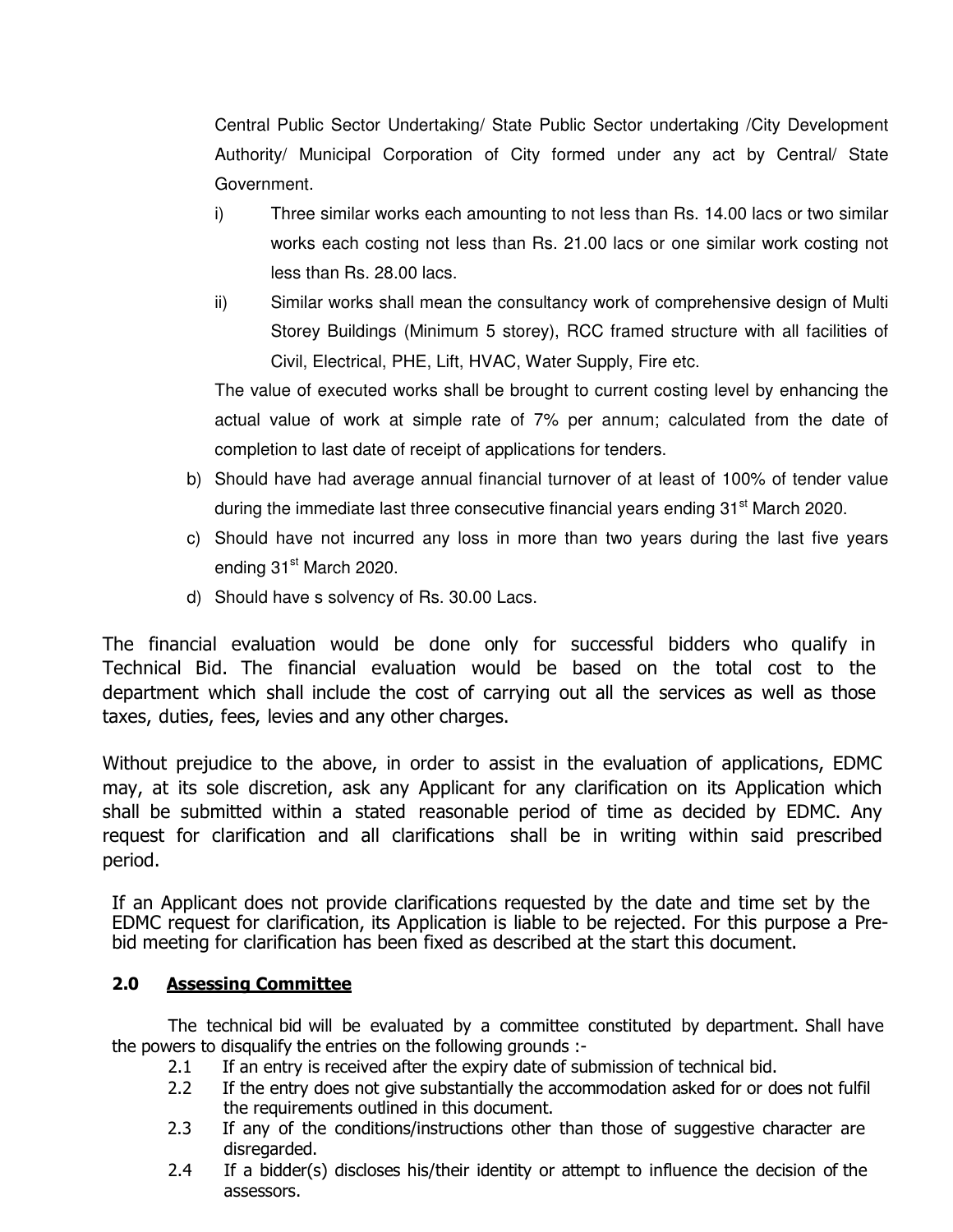Central Public Sector Undertaking/ State Public Sector undertaking /City Development Authority/ Municipal Corporation of City formed under any act by Central/ State Government.

- i) Three similar works each amounting to not less than Rs. 14.00 lacs or two similar works each costing not less than Rs. 21.00 lacs or one similar work costing not less than Rs. 28.00 lacs.
- ii) Similar works shall mean the consultancy work of comprehensive design of Multi Storey Buildings (Minimum 5 storey), RCC framed structure with all facilities of Civil, Electrical, PHE, Lift, HVAC, Water Supply, Fire etc.

The value of executed works shall be brought to current costing level by enhancing the actual value of work at simple rate of 7% per annum; calculated from the date of completion to last date of receipt of applications for tenders.

- b) Should have had average annual financial turnover of at least of 100% of tender value during the immediate last three consecutive financial years ending 31<sup>st</sup> March 2020.
- c) Should have not incurred any loss in more than two years during the last five years ending 31<sup>st</sup> March 2020.
- d) Should have s solvency of Rs. 30.00 Lacs.

The financial evaluation would be done only for successful bidders who qualify in Technical Bid. The financial evaluation would be based on the total cost to the department which shall include the cost of carrying out all the services as well as those taxes, duties, fees, levies and any other charges.

Without prejudice to the above, in order to assist in the evaluation of applications, EDMC may, at its sole discretion, ask any Applicant for any clarification on its Application which shall be submitted within a stated reasonable period of time as decided by EDMC. Any request for clarification and all clarifications shall be in writing within said prescribed period.

If an Applicant does not provide clarifications requested by the date and time set by the EDMC request for clarification, its Application is liable to be rejected. For this purpose a Prebid meeting for clarification has been fixed as described at the start this document.

## **2.0 Assessing Committee**

The technical bid will be evaluated by a committee constituted by department. Shall have the powers to disqualify the entries on the following grounds :-

- 2.1 If an entry is received after the expiry date of submission of technical bid.
- 2.2 If the entry does not give substantially the accommodation asked for or does not fulfil the requirements outlined in this document.
- 2.3 If any of the conditions/instructions other than those of suggestive character are disregarded.
- 2.4 If a bidder(s) discloses his/their identity or attempt to influence the decision of the assessors.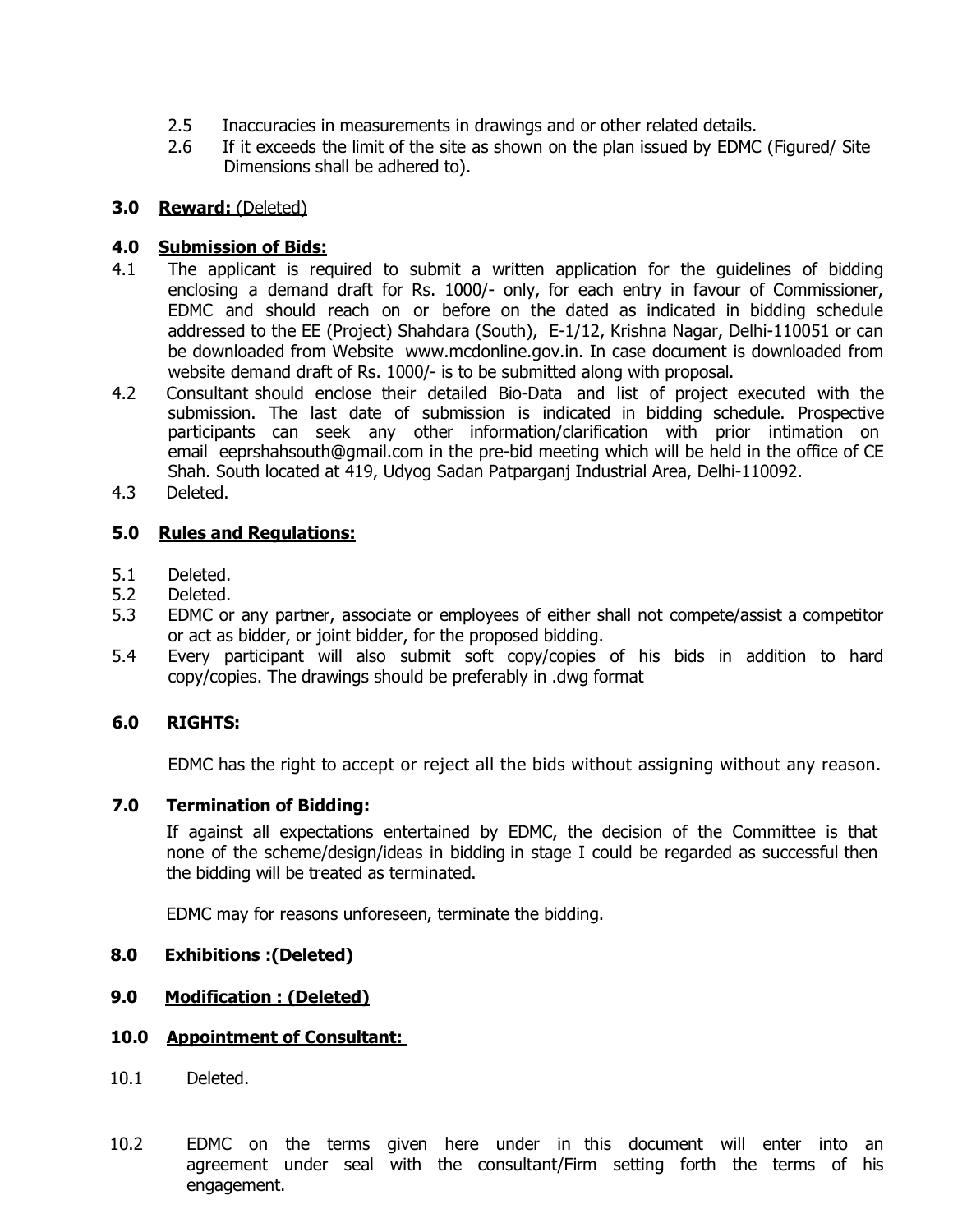- 2.5 Inaccuracies in measurements in drawings and or other related details.
- 2.6 If it exceeds the limit of the site as shown on the plan issued by EDMC (Figured/ Site Dimensions shall be adhered to).

## **3.0 Reward:** (Deleted)

## **4.0 Submission of Bids:**

- 4.1 The applicant is required to submit a written application for the guidelines of bidding enclosing a demand draft for Rs. 1000/- only, for each entry in favour of Commissioner, EDMC and should reach on or before on the dated as indicated in bidding schedule addressed to the EE (Project) Shahdara (South), E-1/12, Krishna Nagar, Delhi-110051 or can be downloaded from Website www.mcdonline.gov.in. In case document is downloaded from website demand draft of Rs. 1000/- is to be submitted along with proposal.
- 4.2 Consultant should enclose their detailed Bio-Data and list of project executed with the submission. The last date of submission is indicated in bidding schedule. Prospective participants can seek any other information/clarification with prior intimation on email eeprshahsouth@gmail.com in the pre-bid meeting which will be held in the office of CE Shah. South located at 419, Udyog Sadan Patparganj Industrial Area, Delhi-110092.
- 4.3 Deleted.

## **5.0 Rules and Regulations:**

- 5.1 Deleted.
- 5.2 Deleted.
- 5.3 EDMC or any partner, associate or employees of either shall not compete/assist a competitor or act as bidder, or joint bidder, for the proposed bidding.
- 5.4 Every participant will also submit soft copy/copies of his bids in addition to hard copy/copies. The drawings should be preferably in .dwg format

## **6.0 RIGHTS:**

EDMC has the right to accept or reject all the bids without assigning without any reason.

## **7.0 Termination of Bidding:**

If against all expectations entertained by EDMC, the decision of the Committee is that none of the scheme/design/ideas in bidding in stage I could be regarded as successful then the bidding will be treated as terminated.

EDMC may for reasons unforeseen, terminate the bidding.

**8.0 Exhibitions :(Deleted)**

## **9.0 Modification : (Deleted)**

## **10.0 Appointment of Consultant:**

- 10.1 Deleted.
- 10.2 EDMC on the terms given here under in this document will enter into an agreement under seal with the consultant/Firm setting forth the terms of his engagement.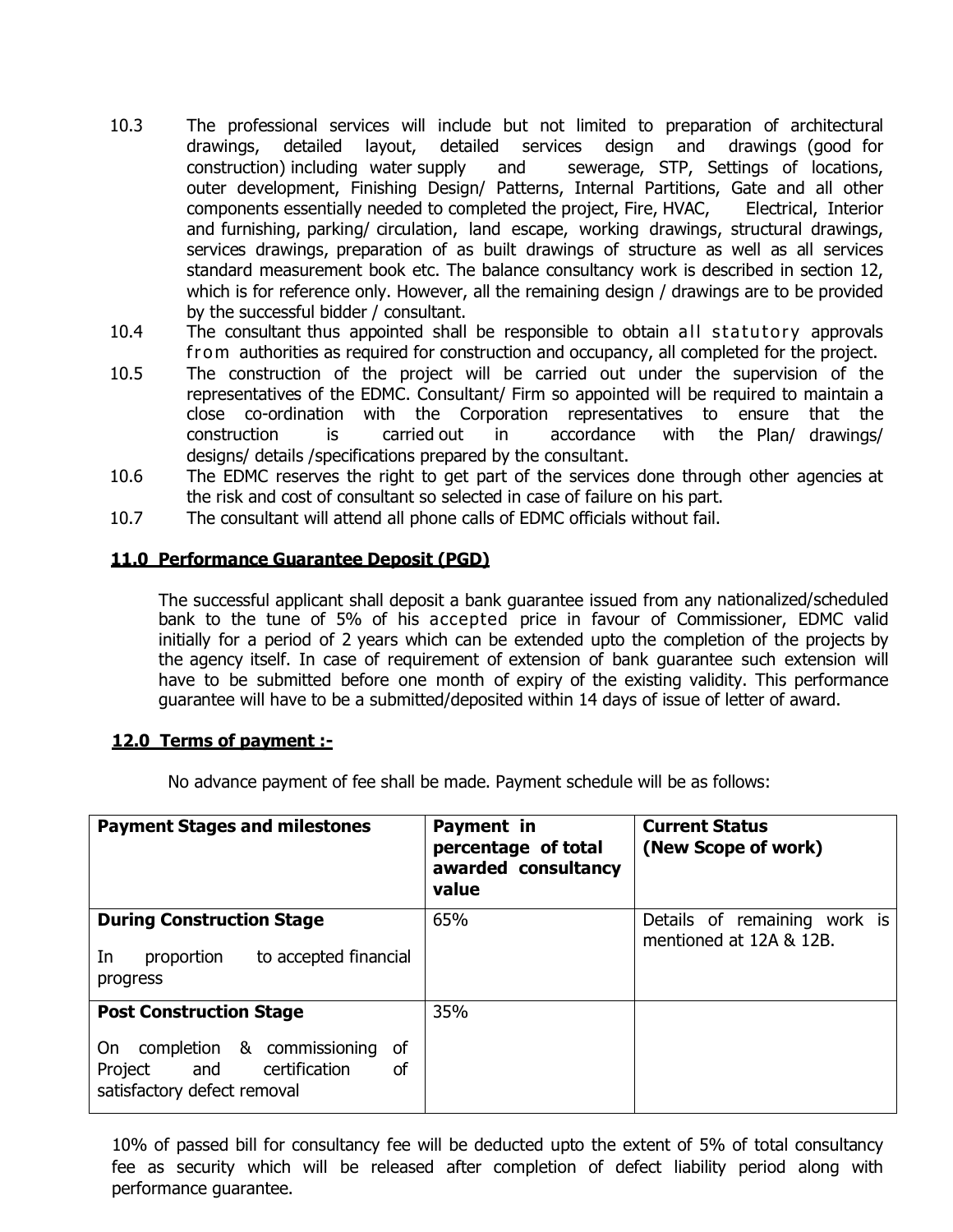- 10.3 The professional services will include but not limited to preparation of architectural drawings, detailed layout, detailed services design and drawings (good for construction) including water supply and sewerage, STP, Settings of locations, outer development, Finishing Design/ Patterns, Internal Partitions, Gate and all other components essentially needed to completed the project, Fire, HVAC, Electrical, Interior and furnishing, parking/ circulation, land escape, working drawings, structural drawings, services drawings, preparation of as built drawings of structure as well as all services standard measurement book etc. The balance consultancy work is described in section 12, which is for reference only. However, all the remaining design / drawings are to be provided by the successful bidder / consultant.
- 10.4 The consultant thus appointed shall be responsible to obtain all statutory approvals from authorities as required for construction and occupancy, all completed for the project.
- 10.5 The construction of the project will be carried out under the supervision of the representatives of the EDMC. Consultant/ Firm so appointed will be required to maintain a close co-ordination with the Corporation representatives to ensure that the construction is carried out in accordance with the Plan/ drawings/ designs/ details /specifications prepared by the consultant.
- 10.6 The EDMC reserves the right to get part of the services done through other agencies at the risk and cost of consultant so selected in case of failure on his part.
- 10.7 The consultant will attend all phone calls of EDMC officials without fail.

## **11.0 Performance Guarantee Deposit (PGD)**

The successful applicant shall deposit a bank guarantee issued from any nationalized/scheduled bank to the tune of 5% of his accepted price in favour of Commissioner, EDMC valid initially for a period of 2 years which can be extended upto the completion of the projects by the agency itself. In case of requirement of extension of bank guarantee such extension will have to be submitted before one month of expiry of the existing validity. This performance guarantee will have to be a submitted/deposited within 14 days of issue of letter of award.

## **12.0 Terms of payment :-**

No advance payment of fee shall be made. Payment schedule will be as follows:

| <b>Payment Stages and milestones</b>                                                                                                           | Payment in<br>percentage of total<br>awarded consultancy<br>value | <b>Current Status</b><br>(New Scope of work)            |
|------------------------------------------------------------------------------------------------------------------------------------------------|-------------------------------------------------------------------|---------------------------------------------------------|
| <b>During Construction Stage</b><br>to accepted financial<br>In<br>proportion<br>progress                                                      | 65%                                                               | Details of remaining work is<br>mentioned at 12A & 12B. |
| <b>Post Construction Stage</b><br>completion & commissioning<br>0f<br>On.<br>Project and<br>certification<br>Ωf<br>satisfactory defect removal | 35%                                                               |                                                         |

10% of passed bill for consultancy fee will be deducted upto the extent of 5% of total consultancy fee as security which will be released after completion of defect liability period along with performance guarantee.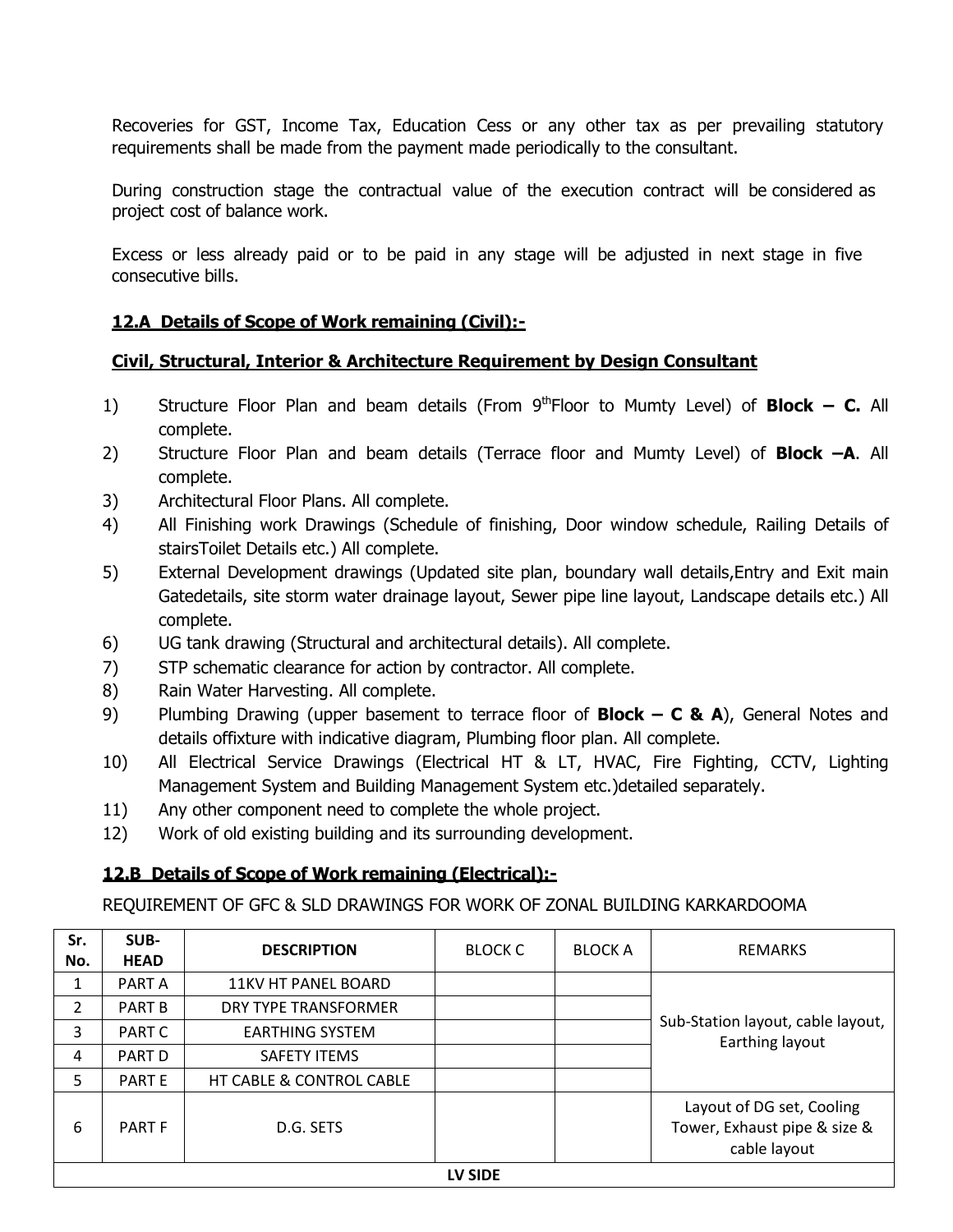Recoveries for GST, Income Tax, Education Cess or any other tax as per prevailing statutory requirements shall be made from the payment made periodically to the consultant.

During construction stage the contractual value of the execution contract will be considered as project cost of balance work.

Excess or less already paid or to be paid in any stage will be adjusted in next stage in five consecutive bills.

## **12.A Details of Scope of Work remaining (Civil):-**

## **Civil, Structural, Interior & Architecture Requirement by Design Consultant**

- 1) Structure Floor Plan and beam details (From  $9<sup>th</sup>$ Floor to Mumty Level) of **Block C.** All complete.
- 2) Structure Floor Plan and beam details (Terrace floor and Mumty Level) of **Block –A**. All complete.
- 3) Architectural Floor Plans. All complete.
- 4) All Finishing work Drawings (Schedule of finishing, Door window schedule, Railing Details of stairsToilet Details etc.) All complete.
- 5) External Development drawings (Updated site plan, boundary wall details,Entry and Exit main Gatedetails, site storm water drainage layout, Sewer pipe line layout, Landscape details etc.) All complete.
- 6) UG tank drawing (Structural and architectural details). All complete.
- 7) STP schematic clearance for action by contractor. All complete.
- 8) Rain Water Harvesting. All complete.
- 9) Plumbing Drawing (upper basement to terrace floor of **Block C & A**), General Notes and details offixture with indicative diagram, Plumbing floor plan. All complete.
- 10) All Electrical Service Drawings (Electrical HT & LT, HVAC, Fire Fighting, CCTV, Lighting Management System and Building Management System etc.)detailed separately.
- 11) Any other component need to complete the whole project.
- 12) Work of old existing building and its surrounding development.

## **12.B Details of Scope of Work remaining (Electrical):-**

## REQUIREMENT OF GFC & SLD DRAWINGS FOR WORK OF ZONAL BUILDING KARKARDOOMA

| Sr.<br>No. | SUB-<br><b>HEAD</b> | <b>DESCRIPTION</b>         | <b>BLOCK C</b> | <b>BLOCK A</b> | <b>REMARKS</b>                                                            |  |
|------------|---------------------|----------------------------|----------------|----------------|---------------------------------------------------------------------------|--|
| 1          | PART A              | <b>11KV HT PANEL BOARD</b> |                |                |                                                                           |  |
| 2          | <b>PART B</b>       | DRY TYPE TRANSFORMER       |                |                |                                                                           |  |
| 3          | <b>PART C</b>       | <b>EARTHING SYSTEM</b>     |                |                | Sub-Station layout, cable layout,<br>Earthing layout                      |  |
| 4          | PART D              | <b>SAFETY ITEMS</b>        |                |                |                                                                           |  |
| 5          | <b>PARTE</b>        | HT CABLE & CONTROL CABLE   |                |                |                                                                           |  |
| 6          | <b>PART F</b>       | D.G. SETS                  |                |                | Layout of DG set, Cooling<br>Tower, Exhaust pipe & size &<br>cable layout |  |
| LV SIDE    |                     |                            |                |                |                                                                           |  |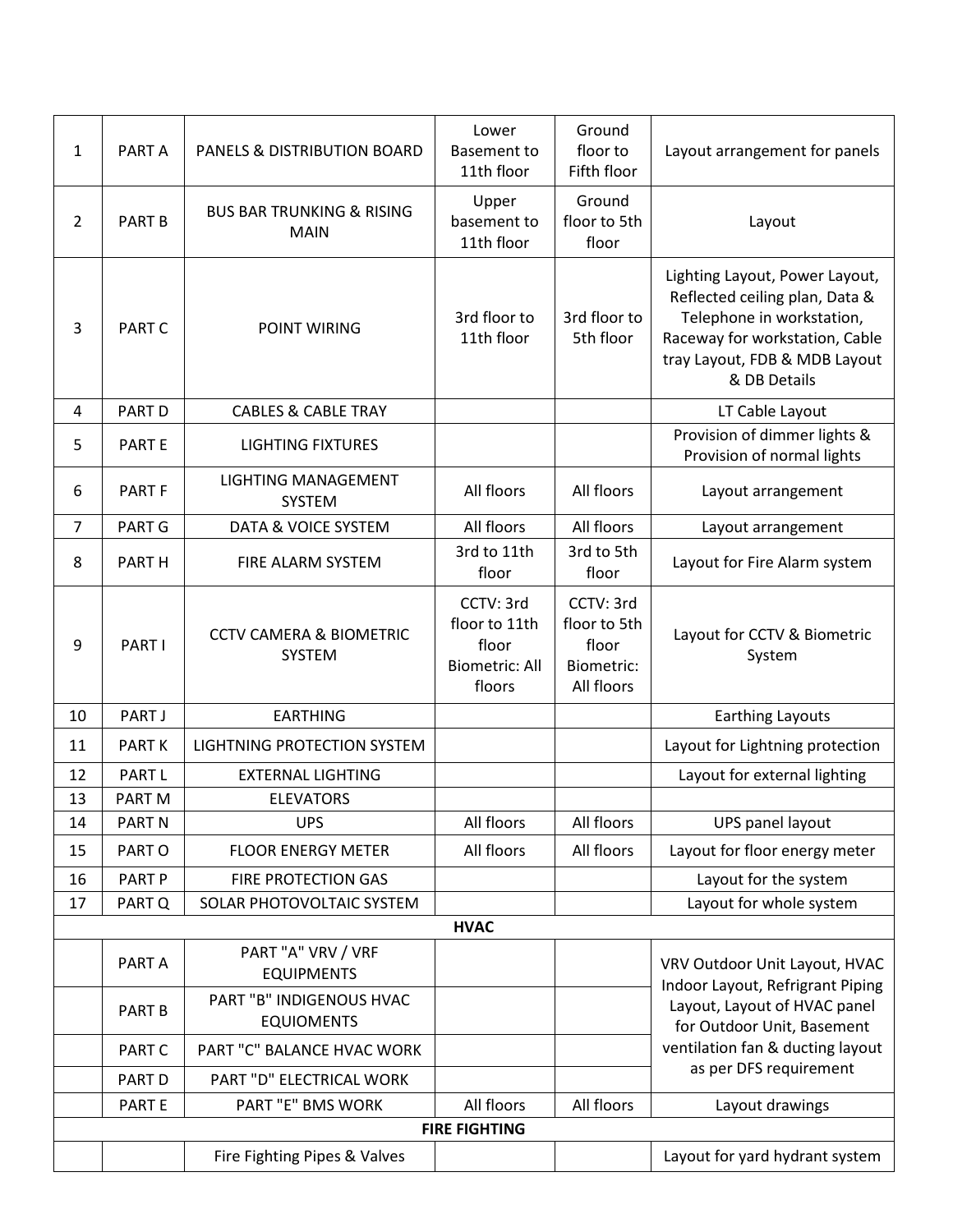| 1  | PART A            | <b>PANELS &amp; DISTRIBUTION BOARD</b>              | Lower<br><b>Basement to</b><br>11th floor                              | Ground<br>floor to<br>Fifth floor                                     | Layout arrangement for panels                                                                                                                                                    |  |  |
|----|-------------------|-----------------------------------------------------|------------------------------------------------------------------------|-----------------------------------------------------------------------|----------------------------------------------------------------------------------------------------------------------------------------------------------------------------------|--|--|
| 2  | <b>PART B</b>     | <b>BUS BAR TRUNKING &amp; RISING</b><br><b>MAIN</b> | Upper<br>basement to<br>11th floor                                     | Ground<br>floor to 5th<br>floor                                       | Layout                                                                                                                                                                           |  |  |
| 3  | PART C            | POINT WIRING                                        | 3rd floor to<br>11th floor                                             | 3rd floor to<br>5th floor                                             | Lighting Layout, Power Layout,<br>Reflected ceiling plan, Data &<br>Telephone in workstation,<br>Raceway for workstation, Cable<br>tray Layout, FDB & MDB Layout<br>& DB Details |  |  |
| 4  | <b>PART D</b>     | <b>CABLES &amp; CABLE TRAY</b>                      |                                                                        |                                                                       | LT Cable Layout                                                                                                                                                                  |  |  |
| 5  | <b>PARTE</b>      | <b>LIGHTING FIXTURES</b>                            |                                                                        |                                                                       | Provision of dimmer lights &<br>Provision of normal lights                                                                                                                       |  |  |
| 6  | <b>PART F</b>     | <b>LIGHTING MANAGEMENT</b><br>SYSTEM                | All floors                                                             | All floors                                                            | Layout arrangement                                                                                                                                                               |  |  |
| 7  | <b>PART G</b>     | <b>DATA &amp; VOICE SYSTEM</b>                      | All floors                                                             | All floors                                                            | Layout arrangement                                                                                                                                                               |  |  |
| 8  | <b>PARTH</b>      | <b>FIRE ALARM SYSTEM</b>                            | 3rd to 11th<br>floor                                                   | 3rd to 5th<br>floor                                                   | Layout for Fire Alarm system                                                                                                                                                     |  |  |
| 9  | PART I            | <b>CCTV CAMERA &amp; BIOMETRIC</b><br><b>SYSTEM</b> | CCTV: 3rd<br>floor to 11th<br>floor<br><b>Biometric: All</b><br>floors | CCTV: 3rd<br>floor to 5th<br>floor<br><b>Biometric:</b><br>All floors | Layout for CCTV & Biometric<br>System                                                                                                                                            |  |  |
| 10 | <b>PART J</b>     | <b>EARTHING</b>                                     |                                                                        |                                                                       | <b>Earthing Layouts</b>                                                                                                                                                          |  |  |
| 11 | <b>PARTK</b>      | LIGHTNING PROTECTION SYSTEM                         |                                                                        |                                                                       | Layout for Lightning protection                                                                                                                                                  |  |  |
| 12 | <b>PART L</b>     | <b>EXTERNAL LIGHTING</b>                            |                                                                        |                                                                       | Layout for external lighting                                                                                                                                                     |  |  |
| 13 | PART <sub>M</sub> | <b>ELEVATORS</b>                                    |                                                                        |                                                                       |                                                                                                                                                                                  |  |  |
| 14 | <b>PART N</b>     | <b>UPS</b>                                          | All floors                                                             | All floors                                                            | UPS panel layout                                                                                                                                                                 |  |  |
| 15 | PART O            | <b>FLOOR ENERGY METER</b>                           | All floors                                                             | All floors                                                            | Layout for floor energy meter                                                                                                                                                    |  |  |
| 16 | <b>PART P</b>     | <b>FIRE PROTECTION GAS</b>                          |                                                                        |                                                                       | Layout for the system                                                                                                                                                            |  |  |
| 17 | PART Q            | SOLAR PHOTOVOLTAIC SYSTEM                           |                                                                        |                                                                       | Layout for whole system                                                                                                                                                          |  |  |
|    | <b>HVAC</b>       |                                                     |                                                                        |                                                                       |                                                                                                                                                                                  |  |  |
|    | PART A            | PART "A" VRV / VRF<br><b>EQUIPMENTS</b>             |                                                                        |                                                                       | VRV Outdoor Unit Layout, HVAC<br>Indoor Layout, Refrigrant Piping                                                                                                                |  |  |
|    | <b>PART B</b>     | PART "B" INDIGENOUS HVAC<br><b>EQUIOMENTS</b>       |                                                                        |                                                                       | Layout, Layout of HVAC panel<br>for Outdoor Unit, Basement                                                                                                                       |  |  |
|    | PART C            | PART "C" BALANCE HVAC WORK                          |                                                                        |                                                                       | ventilation fan & ducting layout                                                                                                                                                 |  |  |
|    | PART D            | PART "D" ELECTRICAL WORK                            |                                                                        |                                                                       | as per DFS requirement                                                                                                                                                           |  |  |
|    | <b>PARTE</b>      | PART "E" BMS WORK                                   | All floors                                                             | All floors                                                            | Layout drawings                                                                                                                                                                  |  |  |
|    |                   |                                                     | <b>FIRE FIGHTING</b>                                                   |                                                                       |                                                                                                                                                                                  |  |  |
|    |                   | Fire Fighting Pipes & Valves                        |                                                                        |                                                                       | Layout for yard hydrant system                                                                                                                                                   |  |  |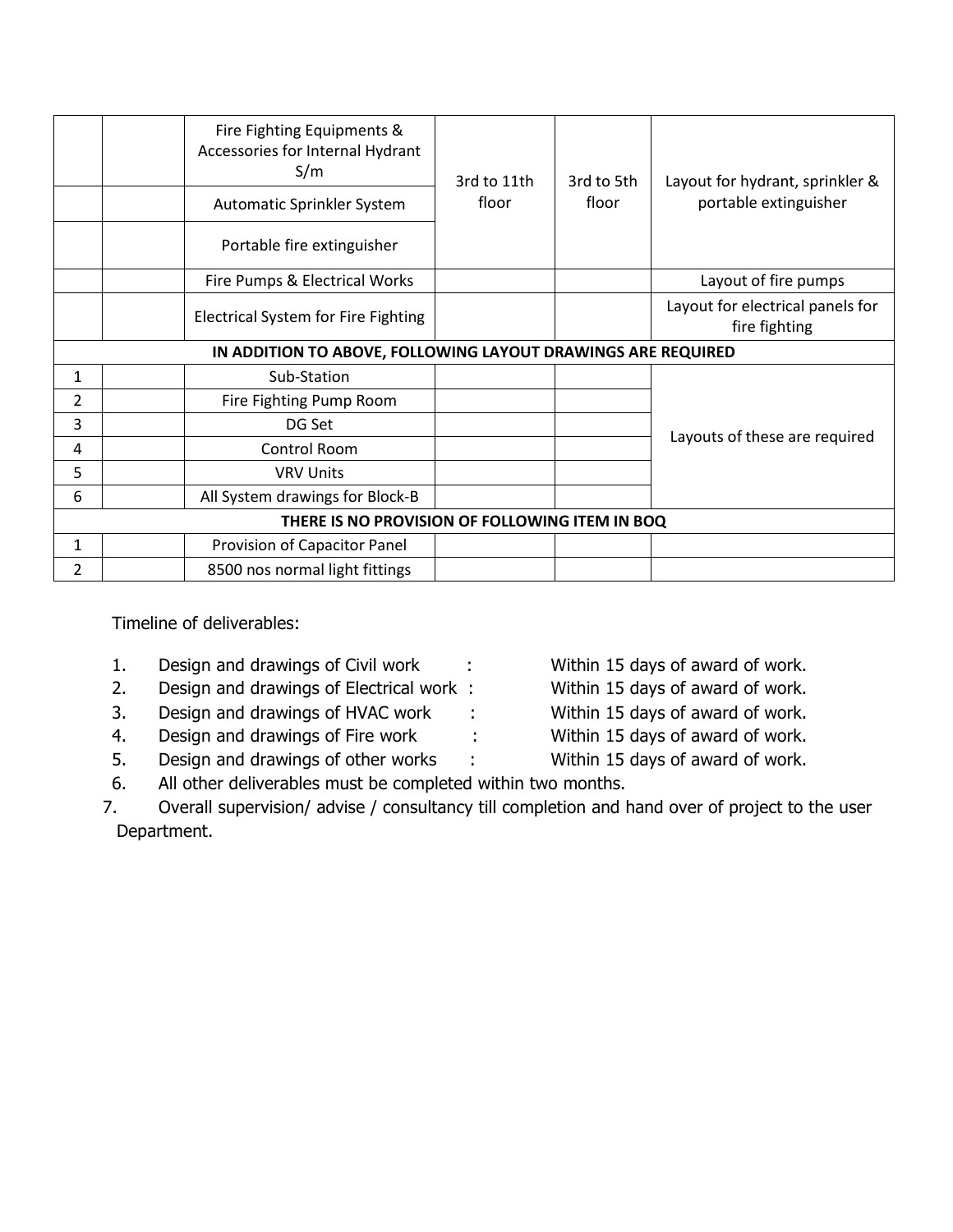|                | Fire Fighting Equipments &<br>Accessories for Internal Hydrant<br>S/m | 3rd to 11th<br>floor | 3rd to 5th<br>floor | Layout for hydrant, sprinkler &<br>portable extinguisher |  |  |
|----------------|-----------------------------------------------------------------------|----------------------|---------------------|----------------------------------------------------------|--|--|
|                | Automatic Sprinkler System                                            |                      |                     |                                                          |  |  |
|                | Portable fire extinguisher                                            |                      |                     |                                                          |  |  |
|                | Fire Pumps & Electrical Works                                         |                      |                     | Layout of fire pumps                                     |  |  |
|                | <b>Electrical System for Fire Fighting</b>                            |                      |                     | Layout for electrical panels for<br>fire fighting        |  |  |
|                | IN ADDITION TO ABOVE, FOLLOWING LAYOUT DRAWINGS ARE REQUIRED          |                      |                     |                                                          |  |  |
| 1              | Sub-Station                                                           |                      |                     |                                                          |  |  |
| $\overline{2}$ | Fire Fighting Pump Room                                               |                      |                     |                                                          |  |  |
| 3              | DG Set                                                                |                      |                     |                                                          |  |  |
| 4              | Control Room                                                          |                      |                     | Layouts of these are required                            |  |  |
| 5              | <b>VRV Units</b>                                                      |                      |                     |                                                          |  |  |
| 6              | All System drawings for Block-B                                       |                      |                     |                                                          |  |  |
|                | THERE IS NO PROVISION OF FOLLOWING ITEM IN BOQ                        |                      |                     |                                                          |  |  |
| 1              | Provision of Capacitor Panel                                          |                      |                     |                                                          |  |  |
| 2              | 8500 nos normal light fittings                                        |                      |                     |                                                          |  |  |

Timeline of deliverables:

- 1. Design and drawings of Civil work : Within 15 days of award of work.
- 2. Design and drawings of Electrical work : Within 15 days of award of work.
- 3. Design and drawings of HVAC work : Within 15 days of award of work.
- 4. Design and drawings of Fire work : Within 15 days of award of work.
- 5. Design and drawings of other works : Within 15 days of award of work.
- 
- 
- 
- 
- 
- 6. All other deliverables must be completed within two months.
- 7. Overall supervision/ advise / consultancy till completion and hand over of project to the user Department.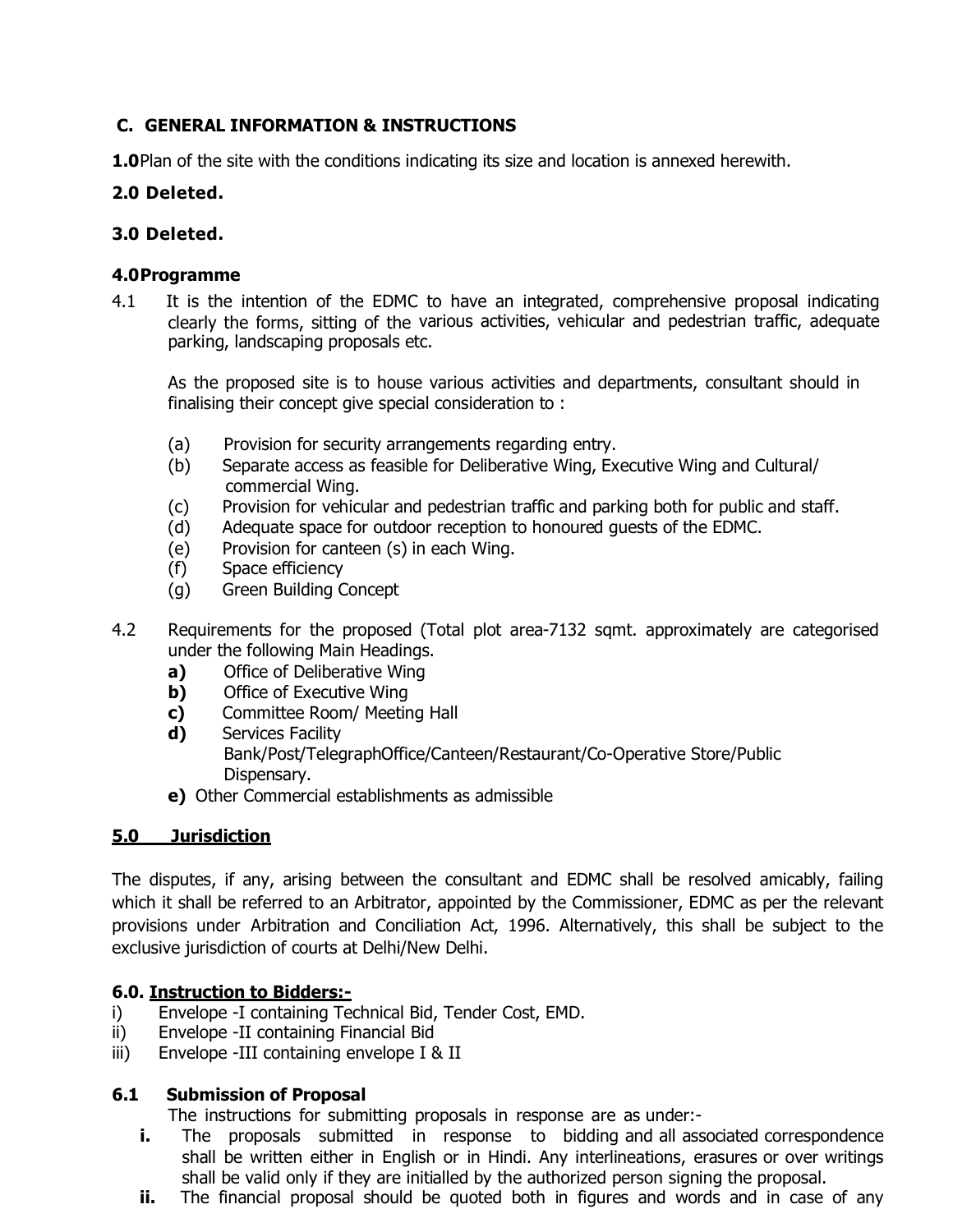## **C. GENERAL INFORMATION & INSTRUCTIONS**

**1.0**Plan of the site with the conditions indicating its size and location is annexed herewith.

## **2.0 Deleted.**

## **3.0 Deleted.**

## **4.0Programme**

4.1 It is the intention of the EDMC to have an integrated, comprehensive proposal indicating clearly the forms, sitting of the various activities, vehicular and pedestrian traffic, adequate parking, landscaping proposals etc.

As the proposed site is to house various activities and departments, consultant should in finalising their concept give special consideration to :

- (a) Provision for security arrangements regarding entry.
- (b) Separate access as feasible for Deliberative Wing, Executive Wing and Cultural/ commercial Wing.
- (c) Provision for vehicular and pedestrian traffic and parking both for public and staff.
- (d) Adequate space for outdoor reception to honoured guests of the EDMC.
- (e) Provision for canteen (s) in each Wing.
- (f) Space efficiency
- (g) Green Building Concept
- 4.2 Requirements for the proposed (Total plot area-7132 sqmt. approximately are categorised under the following Main Headings.
	- **a)** Office of Deliberative Wing
	- **b)** Office of Executive Wing
	- **c)** Committee Room/ Meeting Hall
	- **d)** Services Facility Bank/Post/TelegraphOffice/Canteen/Restaurant/Co-Operative Store/Public Dispensary.
	- **e)** Other Commercial establishments as admissible

## **5.0 Jurisdiction**

The disputes, if any, arising between the consultant and EDMC shall be resolved amicably, failing which it shall be referred to an Arbitrator, appointed by the Commissioner, EDMC as per the relevant provisions under Arbitration and Conciliation Act, 1996. Alternatively, this shall be subject to the exclusive jurisdiction of courts at Delhi/New Delhi.

## **6.0. Instruction to Bidders:-**

- i) Envelope -I containing Technical Bid, Tender Cost, EMD.
- ii) Envelope -II containing Financial Bid
- iii) Envelope -III containing envelope I & II

## **6.1 Submission of Proposal**

The instructions for submitting proposals in response are as under:-

- **i.** The proposals submitted in response to bidding and all associated correspondence shall be written either in English or in Hindi. Any interlineations, erasures or over writings shall be valid only if they are initialled by the authorized person signing the proposal.
- **ii.** The financial proposal should be quoted both in figures and words and in case of any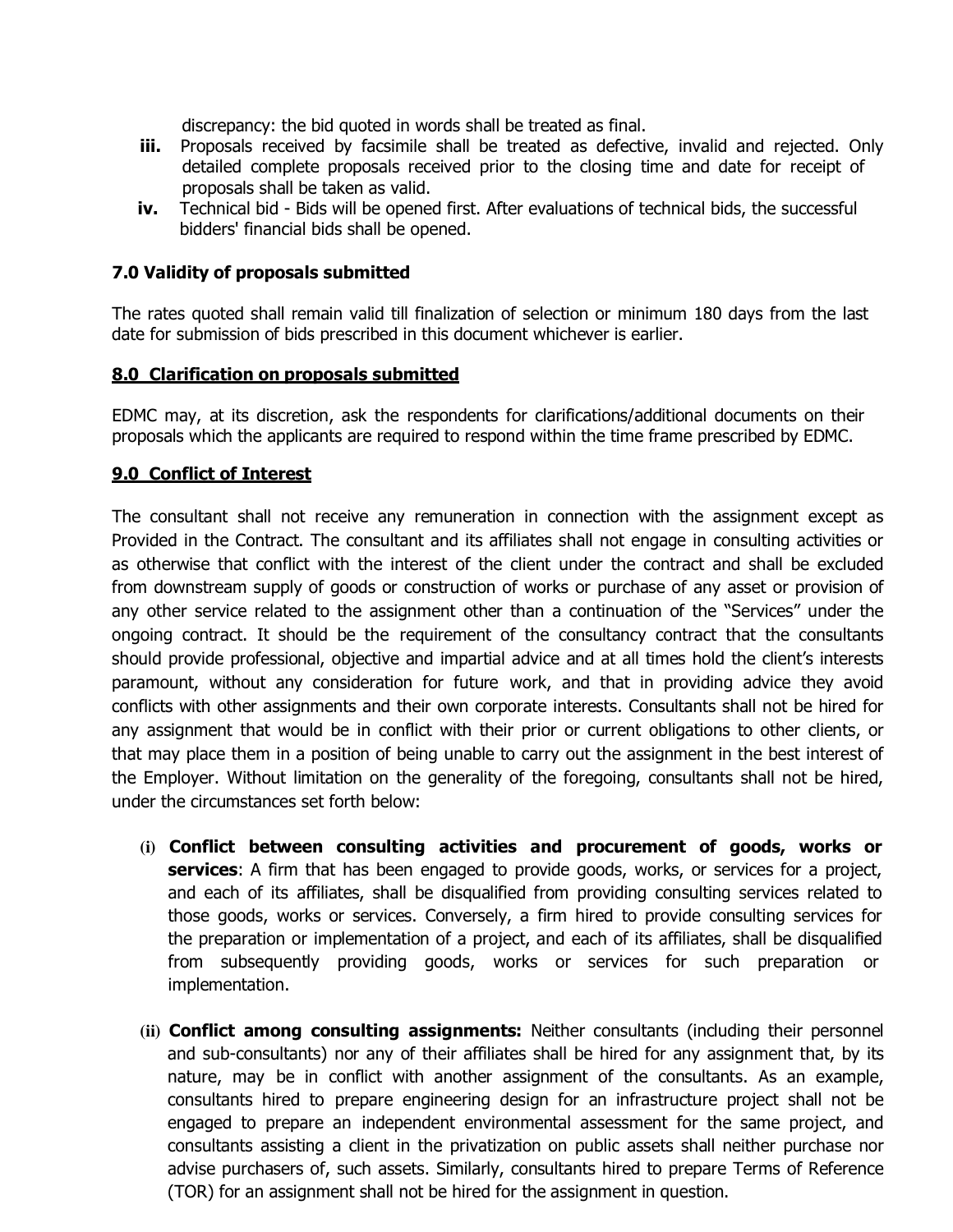discrepancy: the bid quoted in words shall be treated as final.

- **iii.** Proposals received by facsimile shall be treated as defective, invalid and rejected. Only detailed complete proposals received prior to the closing time and date for receipt of proposals shall be taken as valid.
- **iv.** Technical bid Bids will be opened first. After evaluations of technical bids, the successful bidders' financial bids shall be opened.

## **7.0 Validity of proposals submitted**

The rates quoted shall remain valid till finalization of selection or minimum 180 days from the last date for submission of bids prescribed in this document whichever is earlier.

## **8.0 Clarification on proposals submitted**

EDMC may, at its discretion, ask the respondents for clarifications/additional documents on their proposals which the applicants are required to respond within the time frame prescribed by EDMC.

## **9.0 Conflict of Interest**

The consultant shall not receive any remuneration in connection with the assignment except as Provided in the Contract. The consultant and its affiliates shall not engage in consulting activities or as otherwise that conflict with the interest of the client under the contract and shall be excluded from downstream supply of goods or construction of works or purchase of any asset or provision of any other service related to the assignment other than a continuation of the "Services" under the ongoing contract. It should be the requirement of the consultancy contract that the consultants should provide professional, objective and impartial advice and at all times hold the client's interests paramount, without any consideration for future work, and that in providing advice they avoid conflicts with other assignments and their own corporate interests. Consultants shall not be hired for any assignment that would be in conflict with their prior or current obligations to other clients, or that may place them in a position of being unable to carry out the assignment in the best interest of the Employer. Without limitation on the generality of the foregoing, consultants shall not be hired, under the circumstances set forth below:

- **(i) Conflict between consulting activities and procurement of goods, works or services**: A firm that has been engaged to provide goods, works, or services for a project, and each of its affiliates, shall be disqualified from providing consulting services related to those goods, works or services. Conversely, a firm hired to provide consulting services for the preparation or implementation of a project, and each of its affiliates, shall be disqualified from subsequently providing goods, works or services for such preparation or implementation.
- **(ii) Conflict among consulting assignments:** Neither consultants (including their personnel and sub-consultants) nor any of their affiliates shall be hired for any assignment that, by its nature, may be in conflict with another assignment of the consultants. As an example, consultants hired to prepare engineering design for an infrastructure project shall not be engaged to prepare an independent environmental assessment for the same project, and consultants assisting a client in the privatization on public assets shall neither purchase nor advise purchasers of, such assets. Similarly, consultants hired to prepare Terms of Reference (TOR) for an assignment shall not be hired for the assignment in question.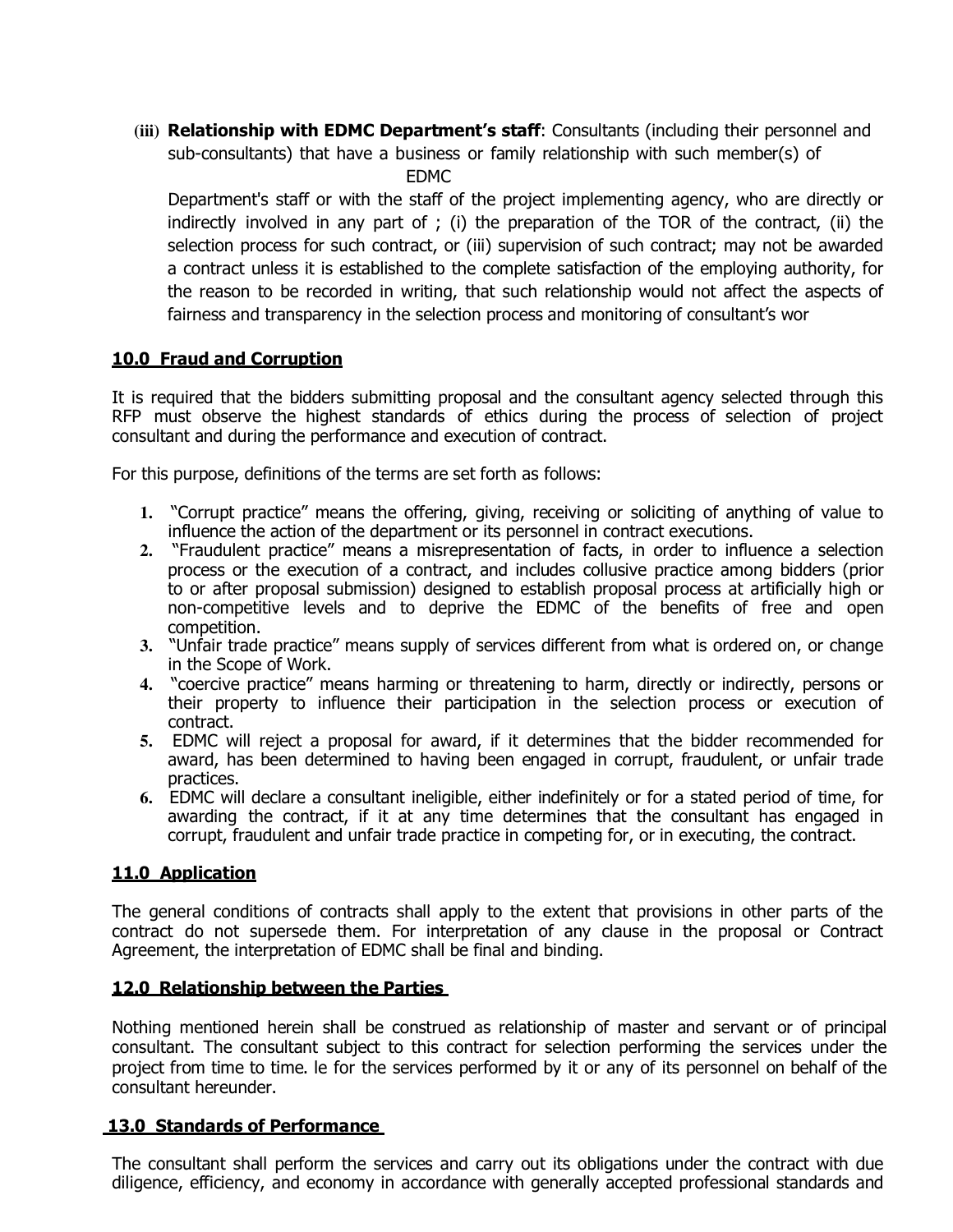**(iii) Relationship with EDMC Department's staff**: Consultants (including their personnel and sub-consultants) that have a business or family relationship with such member(s) of EDMC

Department's staff or with the staff of the project implementing agency, who are directly or indirectly involved in any part of ; (i) the preparation of the TOR of the contract, (ii) the selection process for such contract, or (iii) supervision of such contract; may not be awarded a contract unless it is established to the complete satisfaction of the employing authority, for the reason to be recorded in writing, that such relationship would not affect the aspects of fairness and transparency in the selection process and monitoring of consultant's wor

## **10.0 Fraud and Corruption**

It is required that the bidders submitting proposal and the consultant agency selected through this RFP must observe the highest standards of ethics during the process of selection of project consultant and during the performance and execution of contract.

For this purpose, definitions of the terms are set forth as follows:

- **1.** "Corrupt practice" means the offering, giving, receiving or soliciting of anything of value to influence the action of the department or its personnel in contract executions.
- **2.** "Fraudulent practice" means a misrepresentation of facts, in order to influence a selection process or the execution of a contract, and includes collusive practice among bidders (prior to or after proposal submission) designed to establish proposal process at artificially high or non-competitive levels and to deprive the EDMC of the benefits of free and open competition.
- **3.** "Unfair trade practice" means supply of services different from what is ordered on, or change in the Scope of Work.
- **4.** "coercive practice" means harming or threatening to harm, directly or indirectly, persons or their property to influence their participation in the selection process or execution of contract.
- **5.** EDMC will reject a proposal for award, if it determines that the bidder recommended for award, has been determined to having been engaged in corrupt, fraudulent, or unfair trade practices.
- **6.** EDMC will declare a consultant ineligible, either indefinitely or for a stated period of time, for awarding the contract, if it at any time determines that the consultant has engaged in corrupt, fraudulent and unfair trade practice in competing for, or in executing, the contract.

## **11.0 Application**

The general conditions of contracts shall apply to the extent that provisions in other parts of the contract do not supersede them. For interpretation of any clause in the proposal or Contract Agreement, the interpretation of EDMC shall be final and binding.

## **12.0 Relationship between the Parties**

Nothing mentioned herein shall be construed as relationship of master and servant or of principal consultant. The consultant subject to this contract for selection performing the services under the project from time to time. le for the services performed by it or any of its personnel on behalf of the consultant hereunder.

#### **13.0 Standards of Performance**

The consultant shall perform the services and carry out its obligations under the contract with due diligence, efficiency, and economy in accordance with generally accepted professional standards and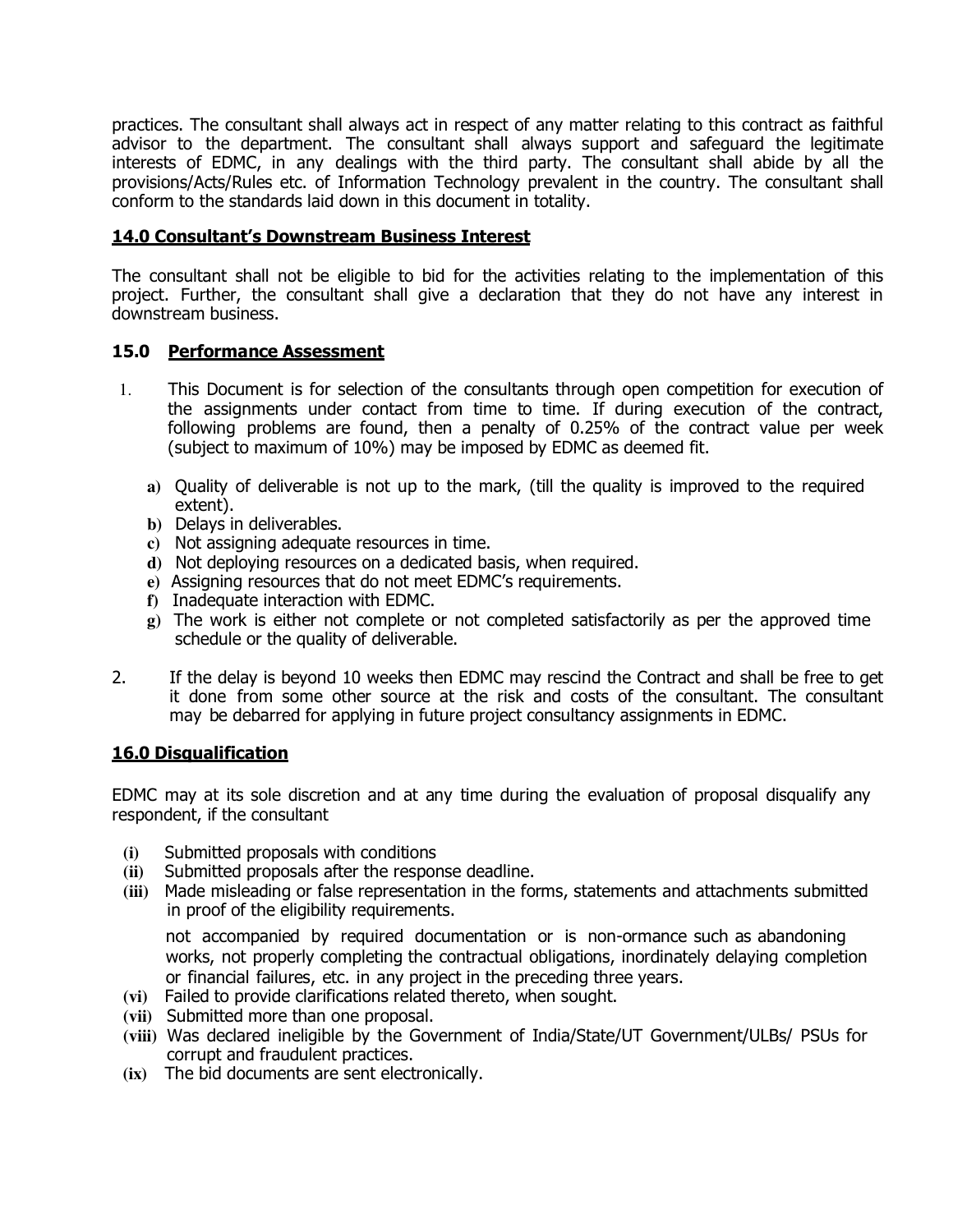practices. The consultant shall always act in respect of any matter relating to this contract as faithful advisor to the department. The consultant shall always support and safeguard the legitimate interests of EDMC, in any dealings with the third party. The consultant shall abide by all the provisions/Acts/Rules etc. of Information Technology prevalent in the country. The consultant shall conform to the standards laid down in this document in totality.

## **14.0 Consultant's Downstream Business Interest**

The consultant shall not be eligible to bid for the activities relating to the implementation of this project. Further, the consultant shall give a declaration that they do not have any interest in downstream business.

## **15.0 Performance Assessment**

- 1. This Document is for selection of the consultants through open competition for execution of the assignments under contact from time to time. If during execution of the contract, following problems are found, then a penalty of 0.25% of the contract value per week (subject to maximum of 10%) may be imposed by EDMC as deemed fit.
	- **a)** Quality of deliverable is not up to the mark, (till the quality is improved to the required extent).
	- **b)** Delays in deliverables.
	- **c)** Not assigning adequate resources in time.
	- **d)** Not deploying resources on a dedicated basis, when required.
	- **e)** Assigning resources that do not meet EDMC's requirements.
	- **f)** Inadequate interaction with EDMC.
	- **g)** The work is either not complete or not completed satisfactorily as per the approved time schedule or the quality of deliverable.
- 2. If the delay is beyond 10 weeks then EDMC may rescind the Contract and shall be free to get it done from some other source at the risk and costs of the consultant. The consultant may be debarred for applying in future project consultancy assignments in EDMC.

## **16.0 Disqualification**

EDMC may at its sole discretion and at any time during the evaluation of proposal disqualify any respondent, if the consultant

- **(i)** Submitted proposals with conditions
- **(ii)** Submitted proposals after the response deadline.
- **(iii)** Made misleading or false representation in the forms, statements and attachments submitted in proof of the eligibility requirements.

not accompanied by required documentation or is non-ormance such as abandoning works, not properly completing the contractual obligations, inordinately delaying completion or financial failures, etc. in any project in the preceding three years.

- **(vi)** Failed to provide clarifications related thereto, when sought.
- **(vii)** Submitted more than one proposal.
- **(viii)** Was declared ineligible by the Government of India/State/UT Government/ULBs/ PSUs for corrupt and fraudulent practices.
- **(ix)** The bid documents are sent electronically.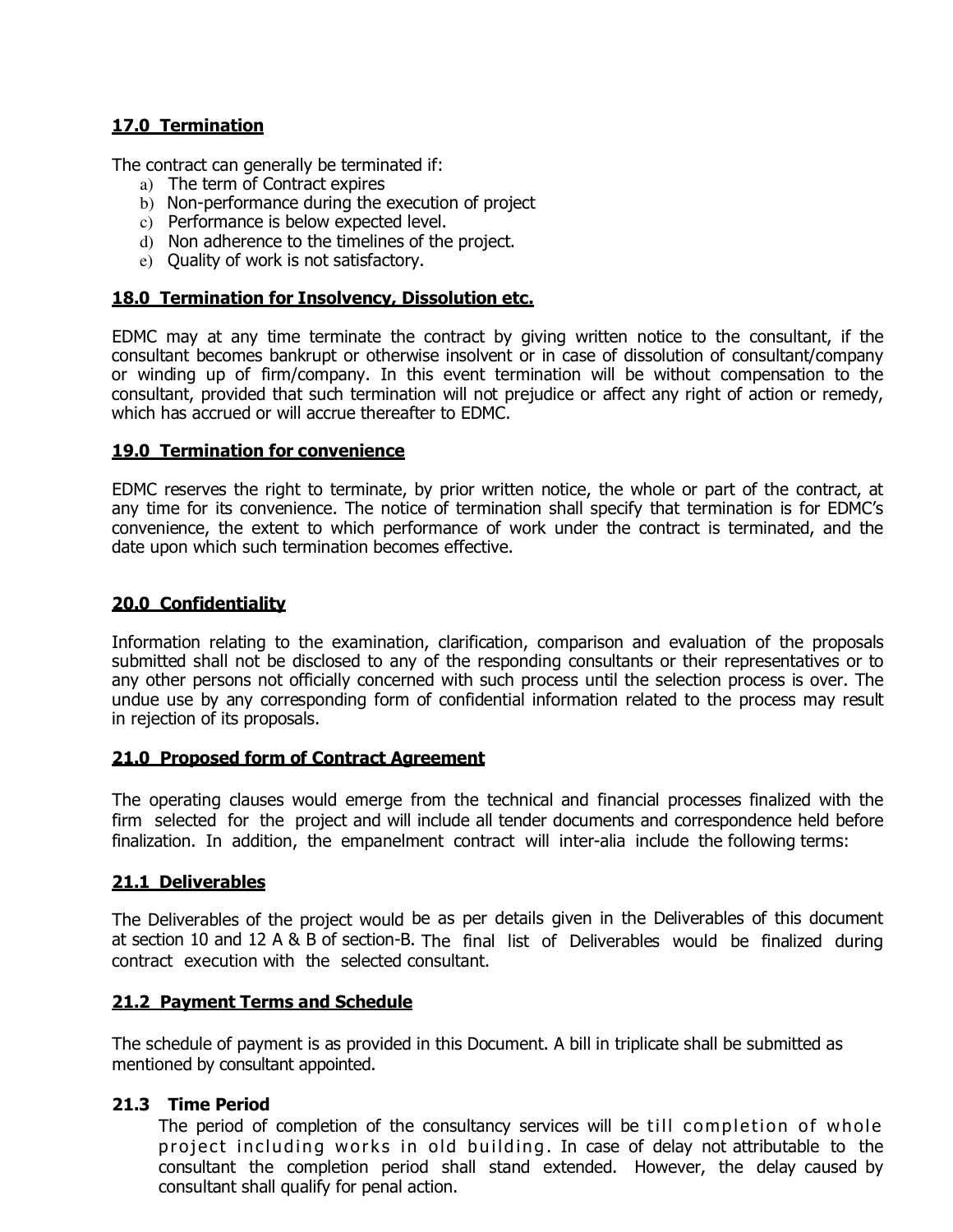## **17.0 Termination**

The contract can generally be terminated if:

- a) The term of Contract expires
- b) Non-performance during the execution of project
- c) Performance is below expected level.
- d) Non adherence to the timelines of the project.
- e) Quality of work is not satisfactory.

#### **18.0 Termination for Insolvency, Dissolution etc.**

EDMC may at any time terminate the contract by giving written notice to the consultant, if the consultant becomes bankrupt or otherwise insolvent or in case of dissolution of consultant/company or winding up of firm/company. In this event termination will be without compensation to the consultant, provided that such termination will not prejudice or affect any right of action or remedy, which has accrued or will accrue thereafter to EDMC.

#### **19.0 Termination for convenience**

EDMC reserves the right to terminate, by prior written notice, the whole or part of the contract, at any time for its convenience. The notice of termination shall specify that termination is for EDMC's convenience, the extent to which performance of work under the contract is terminated, and the date upon which such termination becomes effective.

#### **20.0 Confidentiality**

Information relating to the examination, clarification, comparison and evaluation of the proposals submitted shall not be disclosed to any of the responding consultants or their representatives or to any other persons not officially concerned with such process until the selection process is over. The undue use by any corresponding form of confidential information related to the process may result in rejection of its proposals.

#### **21.0 Proposed form of Contract Agreement**

The operating clauses would emerge from the technical and financial processes finalized with the firm selected for the project and will include all tender documents and correspondence held before finalization. In addition, the empanelment contract will inter-alia include the following terms:

## **21.1 Deliverables**

The Deliverables of the project would be as per details given in the Deliverables of this document at section 10 and 12 A & B of section-B. The final list of Deliverables would be finalized during contract execution with the selected consultant.

## **21.2 Payment Terms and Schedule**

The schedule of payment is as provided in this Document. A bill in triplicate shall be submitted as mentioned by consultant appointed.

## **21.3 Time Period**

The period of completion of the consultancy services will be till completion of whole project including works in old building. In case of delay not attributable to the consultant the completion period shall stand extended. However, the delay caused by consultant shall qualify for penal action.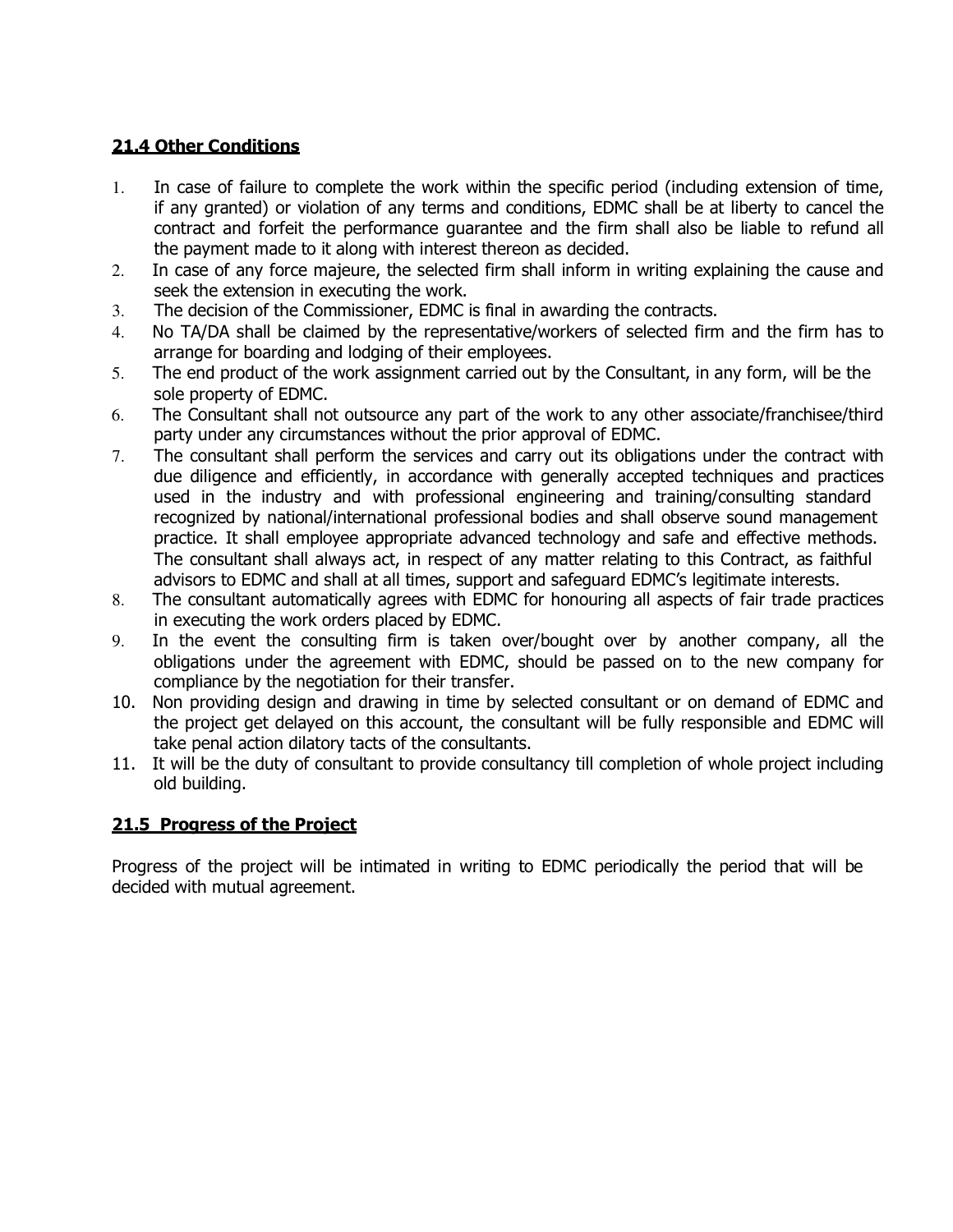## **21.4 Other Conditions**

- 1. In case of failure to complete the work within the specific period (including extension of time, if any granted) or violation of any terms and conditions, EDMC shall be at liberty to cancel the contract and forfeit the performance guarantee and the firm shall also be liable to refund all the payment made to it along with interest thereon as decided.
- 2. In case of any force majeure, the selected firm shall inform in writing explaining the cause and seek the extension in executing the work.
- 3. The decision of the Commissioner, EDMC is final in awarding the contracts.
- 4. No TA/DA shall be claimed by the representative/workers of selected firm and the firm has to arrange for boarding and lodging of their employees.
- 5. The end product of the work assignment carried out by the Consultant, in any form, will be the sole property of EDMC.
- 6. The Consultant shall not outsource any part of the work to any other associate/franchisee/third party under any circumstances without the prior approval of EDMC.
- 7. The consultant shall perform the services and carry out its obligations under the contract with due diligence and efficiently, in accordance with generally accepted techniques and practices used in the industry and with professional engineering and training/consulting standard recognized by national/international professional bodies and shall observe sound management practice. It shall employee appropriate advanced technology and safe and effective methods. The consultant shall always act, in respect of any matter relating to this Contract, as faithful advisors to EDMC and shall at all times, support and safeguard EDMC's legitimate interests.
- 8. The consultant automatically agrees with EDMC for honouring all aspects of fair trade practices in executing the work orders placed by EDMC.
- 9. In the event the consulting firm is taken over/bought over by another company, all the obligations under the agreement with EDMC, should be passed on to the new company for compliance by the negotiation for their transfer.
- 10. Non providing design and drawing in time by selected consultant or on demand of EDMC and the project get delayed on this account, the consultant will be fully responsible and EDMC will take penal action dilatory tacts of the consultants.
- 11. It will be the duty of consultant to provide consultancy till completion of whole project including old building.

## **21.5 Progress of the Project**

Progress of the project will be intimated in writing to EDMC periodically the period that will be decided with mutual agreement.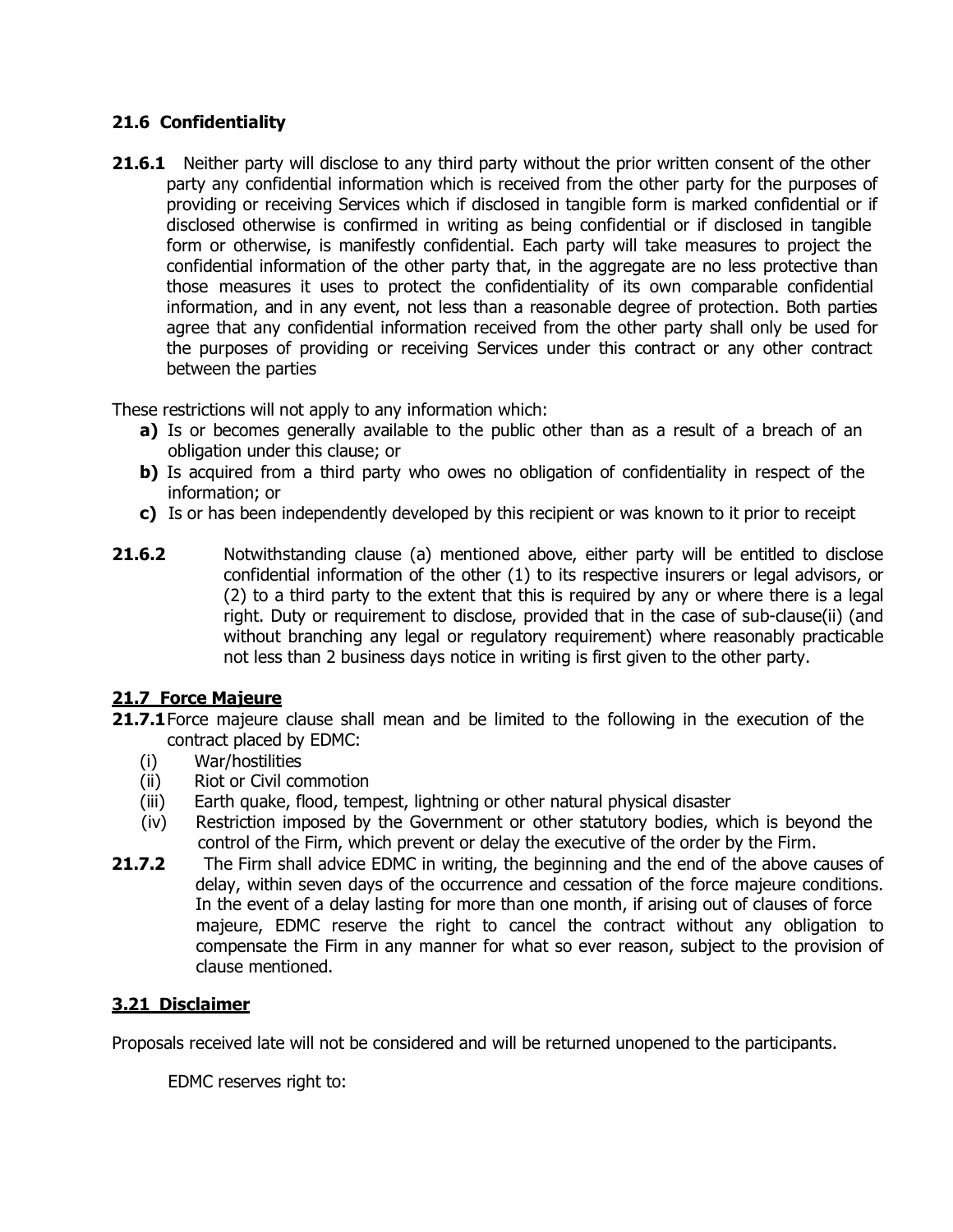## **21.6 Confidentiality**

**21.6.1** Neither party will disclose to any third party without the prior written consent of the other party any confidential information which is received from the other party for the purposes of providing or receiving Services which if disclosed in tangible form is marked confidential or if disclosed otherwise is confirmed in writing as being confidential or if disclosed in tangible form or otherwise, is manifestly confidential. Each party will take measures to project the confidential information of the other party that, in the aggregate are no less protective than those measures it uses to protect the confidentiality of its own comparable confidential information, and in any event, not less than a reasonable degree of protection. Both parties agree that any confidential information received from the other party shall only be used for the purposes of providing or receiving Services under this contract or any other contract between the parties

These restrictions will not apply to any information which:

- **a)** Is or becomes generally available to the public other than as a result of a breach of an obligation under this clause; or
- **b)** Is acquired from a third party who owes no obligation of confidentiality in respect of the information; or
- **c)** Is or has been independently developed by this recipient or was known to it prior to receipt
- **21.6.2** •• Notwithstanding clause (a) mentioned above, either party will be entitled to disclose confidential information of the other (1) to its respective insurers or legal advisors, or (2) to a third party to the extent that this is required by any or where there is a legal right. Duty or requirement to disclose, provided that in the case of sub-clause(ii) (and without branching any legal or regulatory requirement) where reasonably practicable not less than 2 business days notice in writing is first given to the other party.

## **21.7 Force Majeure**

- **21.7.1** Force majeure clause shall mean and be limited to the following in the execution of the contract placed by EDMC:
	- (i) War/hostilities
	- (ii) Riot or Civil commotion
	- (iii) Earth quake, flood, tempest, lightning or other natural physical disaster
	- (iv) Restriction imposed by the Government or other statutory bodies, which is beyond the control of the Firm, which prevent or delay the executive of the order by the Firm.
- **21.7.2** The Firm shall advice EDMC in writing, the beginning and the end of the above causes of delay, within seven days of the occurrence and cessation of the force majeure conditions. In the event of a delay lasting for more than one month, if arising out of clauses of force majeure, EDMC reserve the right to cancel the contract without any obligation to compensate the Firm in any manner for what so ever reason, subject to the provision of clause mentioned.

## **3.21 Disclaimer**

Proposals received late will not be considered and will be returned unopened to the participants.

EDMC reserves right to: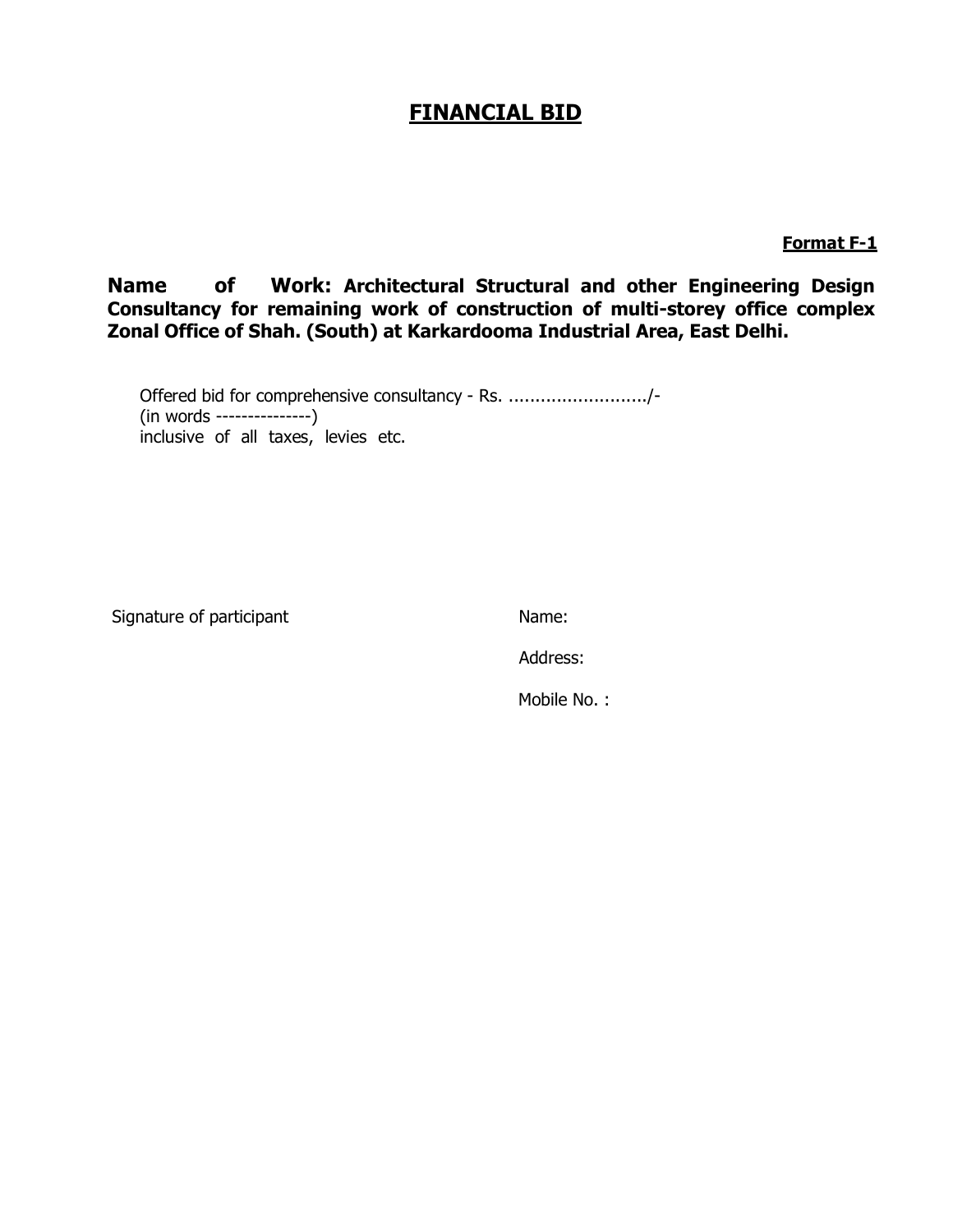## **FINANCIAL BID**

**Format F-1**

**Name of Work: Architectural Structural and other Engineering Design Consultancy for remaining work of construction of multi-storey office complex Zonal Office of Shah. (South) at Karkardooma Industrial Area, East Delhi.**

Offered bid for comprehensive consultancy - Rs. ........................../- (in words ---------------) inclusive of all taxes, levies etc.

Signature of participant Name:

Address:

Mobile No. :